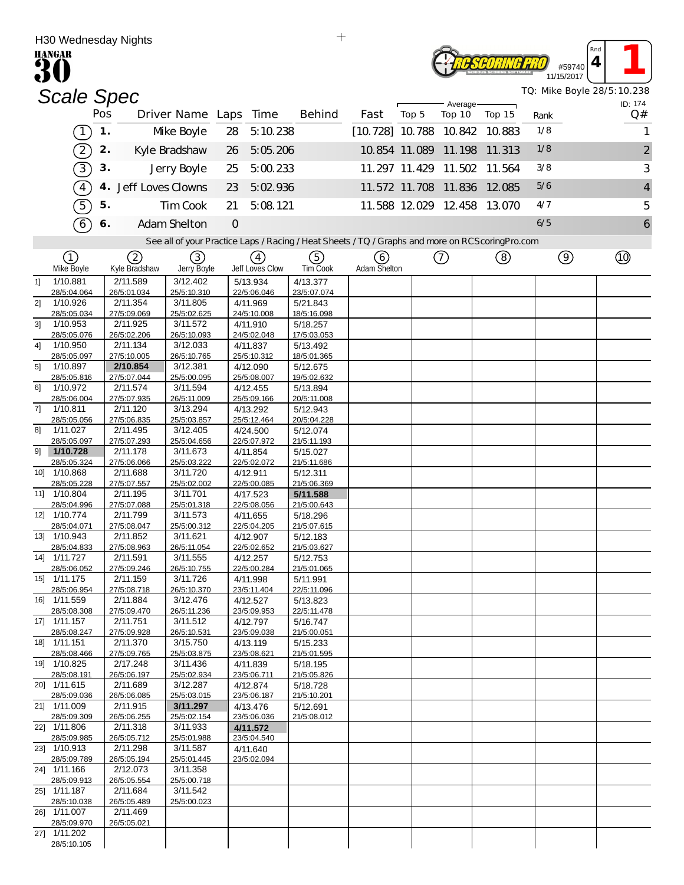|                | H30 weanesday Nights<br><b>HANGAR</b> |     |                         |                         |               |                         |                                                                                                   |                          |       |                      |                             |      |                      | Rnd |                            |
|----------------|---------------------------------------|-----|-------------------------|-------------------------|---------------|-------------------------|---------------------------------------------------------------------------------------------------|--------------------------|-------|----------------------|-----------------------------|------|----------------------|-----|----------------------------|
|                |                                       |     |                         |                         |               |                         |                                                                                                   |                          |       |                      |                             |      | #59740<br>11/15/2017 | 4   |                            |
|                | <b>Scale Spec</b>                     |     |                         |                         |               |                         |                                                                                                   |                          |       |                      |                             |      |                      |     | TQ: Mike Boyle 28/5:10.238 |
|                |                                       | Pos |                         | Driver Name Laps        |               | Time                    | <b>Behind</b>                                                                                     | Fast                     | Top 5 | Average-<br>Top 10   | Top 15                      | Rank |                      |     | ID: 174<br>Q#              |
|                | $\mathbf{1}$                          | 1.  |                         | Mke Boyle               | 28            | 5:10.238                |                                                                                                   | $[10.728]$ 10.788 10.842 |       |                      | 10.883                      | 1/8  |                      |     | 1                          |
|                | $\boxed{2}$                           | 2.  |                         | Kyle Bradshaw           | 26            | 5:05.206                |                                                                                                   |                          |       | 10.854 11.089 11.198 | 11.313                      | 1/8  |                      |     | $\overline{2}$             |
|                | $\boxed{3}$                           | 3.  |                         | Jerry Boyle             | 25            | 5:00.233                |                                                                                                   | 11.297 11.429            |       | 11.502               | 11.564                      | 3/8  |                      |     | 3                          |
|                | $\overline{4}$                        | 4.  | Jeff Loves Clowns       |                         | 23            | 5:02 936                |                                                                                                   |                          |       | 11.572 11.708 11.836 | 12.085                      | 5/6  |                      |     | $\overline{4}$             |
|                | 5                                     | 5.  |                         | Tim Cook                | 21            | 5:08.121                |                                                                                                   |                          |       |                      | 11.588 12.029 12.458 13.070 | 4/7  |                      |     | 5                          |
|                | $\widehat{6}$                         | 6.  |                         | Adam Shelton            | $\mathcal{O}$ |                         |                                                                                                   |                          |       |                      |                             | 6/5  |                      |     | 6                          |
|                |                                       |     |                         |                         |               |                         | See all of your Practice Laps / Racing / Heat Sheets / TQ / Graphs and more on RCS coring Pro.com |                          |       |                      |                             |      |                      |     |                            |
|                | (1)                                   |     | ②                       | 3)                      |               | $\left( 4\right)$       | (5)                                                                                               | (6)                      |       | (7)                  | ③                           |      | $\circledcirc$       |     | (10)                       |
|                | Mke Boyle                             |     | Kyle Bradshaw           | Jerry Boyle             |               | Jeff Loves Clow         | <b>TimCook</b>                                                                                    | Adam Shelton             |       |                      |                             |      |                      |     |                            |
| 11             | 1/10.881<br>28/5:04.064               |     | 2/11.589<br>26/5:01.034 | 3/12.402<br>25/5:10.310 |               | 5/13.934<br>22/5:06.046 | 4/13.377<br>23/5:07.074                                                                           |                          |       |                      |                             |      |                      |     |                            |
| 21             | 1/10.926                              |     | 2/11.354                | 3/11.805                |               | 4/11.969                | 5/21.843                                                                                          |                          |       |                      |                             |      |                      |     |                            |
|                | 28/5:05.034                           |     | 27/5:09.069             | 25/5:02.625             |               | 24/5:10.008             | 18/5:16.098                                                                                       |                          |       |                      |                             |      |                      |     |                            |
| 3 <sup>1</sup> | 1/10.953<br>28/5:05.076               |     | 2/11.925<br>26/5:02.206 | 3/11.572<br>26/5:10.093 |               | 4/11.910<br>24/5:02.048 | 5/18.257<br>17/5:03.053                                                                           |                          |       |                      |                             |      |                      |     |                            |
| 4]             | 1/10.950                              |     | 2/11.134                | 3/12.033                |               | 4/11.837                | 5/13.492                                                                                          |                          |       |                      |                             |      |                      |     |                            |
|                | 28/5:05.097                           |     | 27/5:10.005             | 26/5:10.765             |               | 25/5:10.312             | 18/5:01.365                                                                                       |                          |       |                      |                             |      |                      |     |                            |
| 5 <sup>1</sup> | 1/10.897                              |     | 2/10.854                | 3/12.381                |               | 4/12.090                | 5/12.675                                                                                          |                          |       |                      |                             |      |                      |     |                            |
| 61             | 28/5:05.816<br>1/10.972               |     | 27/5:07.044<br>2/11.574 | 25/5:00.095<br>3/11.594 |               | 25/5:08.007<br>4/12.455 | 19/5:02.632<br>5/13.894                                                                           |                          |       |                      |                             |      |                      |     |                            |
|                | 28/5:06.004                           |     | 27/5:07.935             | 26/5:11.009             |               | 25/5:09.166             | 20/5:11.008                                                                                       |                          |       |                      |                             |      |                      |     |                            |
| 71             | 1/10.811                              |     | 2/11.120                | 3/13.294                |               | 4/13.292                | 5/12.943                                                                                          |                          |       |                      |                             |      |                      |     |                            |
| 81             | 28/5:05.056<br>1/11.027               |     | 27/5:06.835<br>2/11.495 | 25/5:03.857<br>3/12.405 |               | 25/5:12.464<br>4/24.500 | 20/5:04.228<br>5/12.074                                                                           |                          |       |                      |                             |      |                      |     |                            |
|                | 28/5:05.097                           |     | 27/5:07.293             | 25/5:04.656             |               | 22/5:07.972             | 21/5:11.193                                                                                       |                          |       |                      |                             |      |                      |     |                            |
| 91             | 1/10.728                              |     | 2/11.178                | 3/11.673                |               | 4/11.854                | 5/15.027                                                                                          |                          |       |                      |                             |      |                      |     |                            |
| 101            | 28/5:05.324<br>1/10.868               |     | 27/5:06.066<br>2/11.688 | 25/5:03.222<br>3/11.720 |               | 22/5:02.072             | 21/5:11.686                                                                                       |                          |       |                      |                             |      |                      |     |                            |
|                | 28/5:05.228                           |     | 27/5:07.557             | 25/5:02.002             |               | 4/12.911<br>22/5:00.085 | 5/12.311<br>21/5:06.369                                                                           |                          |       |                      |                             |      |                      |     |                            |
|                | 11] 1/10.804                          |     | 2/11.195                | 3/11.701                |               | 4/17.523                | 5/11.588                                                                                          |                          |       |                      |                             |      |                      |     |                            |
|                | 28/5:04.996                           |     | 27/5:07.088             | 25/5:01.318             |               | 22/5:08.056             | 21/5:00.643                                                                                       |                          |       |                      |                             |      |                      |     |                            |
| 12]            | 1/10.774<br>28/5:04.071               |     | 2/11.799<br>27/5:08.047 | 3/11.573<br>25/5:00.312 |               | 4/11.655<br>22/5:04.205 | 5/18.296<br>21/5:07.615                                                                           |                          |       |                      |                             |      |                      |     |                            |
| 13]            | 1/10.943                              |     | 2/11.852                | 3/11.621                |               | 4/12.907                | 5/12.183                                                                                          |                          |       |                      |                             |      |                      |     |                            |
|                | 28/5:04.833                           |     | 27/5:08.963             | 26/5:11.054             |               | 22/5:02.652             | 21/5:03.627                                                                                       |                          |       |                      |                             |      |                      |     |                            |
|                | 14] 1/11.727<br>28/5:06.052           |     | 2/11.591<br>27/5:09.246 | 3/11.555<br>26/5:10.755 |               | 4/12.257<br>22/5:00.284 | 5/12.753<br>21/5:01.065                                                                           |                          |       |                      |                             |      |                      |     |                            |
|                | 15] 1/11.175                          |     | 2/11.159                | 3/11.726                |               | 4/11.998                | 5/11.991                                                                                          |                          |       |                      |                             |      |                      |     |                            |
|                | 28/5:06.954                           |     | 27/5:08.718             | 26/5:10.370             |               | 23/5:11.404             | 22/5:11.096                                                                                       |                          |       |                      |                             |      |                      |     |                            |
|                | 16] 1/11.559<br>28/5:08.308           |     | 2/11.884<br>27/5:09.470 | 3/12.476<br>26/5:11.236 |               | 4/12.527<br>23/5:09.953 | 5/13.823<br>22/5:11.478                                                                           |                          |       |                      |                             |      |                      |     |                            |
|                | 17] 1/11.157                          |     | 2/11.751                | 3/11.512                |               | 4/12.797                | 5/16.747                                                                                          |                          |       |                      |                             |      |                      |     |                            |
|                | 28/5:08.247                           |     | 27/5:09.928             | 26/5:10.531             |               | 23/5:09.038             | 21/5:00.051                                                                                       |                          |       |                      |                             |      |                      |     |                            |
|                | 18] 1/11.151<br>28/5:08.466           |     | 2/11.370<br>27/5:09.765 | 3/15.750<br>25/5:03.875 |               | 4/13.119<br>23/5:08.621 | 5/15.233<br>21/5:01.595                                                                           |                          |       |                      |                             |      |                      |     |                            |
|                | 19] 1/10.825                          |     | 2/17.248                | 3/11.436                |               | 4/11.839                | 5/18.195                                                                                          |                          |       |                      |                             |      |                      |     |                            |
|                | 28/5:08.191                           |     | 26/5:06.197             | 25/5:02.934             |               | 23/5:06.711             | 21/5:05.826                                                                                       |                          |       |                      |                             |      |                      |     |                            |
|                | 20] 1/11.615                          |     | 2/11.689                | 3/12.287<br>25/5:03.015 |               | 4/12.874                | 5/18.728                                                                                          |                          |       |                      |                             |      |                      |     |                            |
|                | 28/5:09.036<br>21] 1/11.009           |     | 26/5:06.085<br>2/11.915 | 3/11.297                |               | 23/5:06.187<br>4/13.476 | 21/5:10.201<br>5/12.691                                                                           |                          |       |                      |                             |      |                      |     |                            |
|                | 28/5:09.309                           |     | 26/5:06.255             | 25/5:02.154             |               | 23/5:06.036             | 21/5:08.012                                                                                       |                          |       |                      |                             |      |                      |     |                            |
|                | 22] 1/11.806                          |     | 2/11.318                | 3/11.933                |               | 4/11.572<br>23/5:04.540 |                                                                                                   |                          |       |                      |                             |      |                      |     |                            |
|                | 28/5:09.985<br>23] 1/10.913           |     | 26/5:05.712<br>2/11.298 | 25/5:01.988<br>3/11.587 |               | 4/11.640                |                                                                                                   |                          |       |                      |                             |      |                      |     |                            |
|                | 28/5:09.789                           |     | 26/5:05.194             | 25/5:01.445             |               | 23/5:02.094             |                                                                                                   |                          |       |                      |                             |      |                      |     |                            |
|                | 24] 1/11.166<br>28/5:09.913           |     | 2/12.073<br>26/5:05.554 | 3/11.358<br>25/5:00.718 |               |                         |                                                                                                   |                          |       |                      |                             |      |                      |     |                            |
|                | 25] 1/11.187                          |     | 2/11.684                | 3/11.542                |               |                         |                                                                                                   |                          |       |                      |                             |      |                      |     |                            |
|                | 28/5:10.038                           |     | 26/5:05.489             | 25/5:00.023             |               |                         |                                                                                                   |                          |       |                      |                             |      |                      |     |                            |
|                | 26] 1/11.007<br>28/5:09.970           |     | 2/11.469<br>26/5:05.021 |                         |               |                         |                                                                                                   |                          |       |                      |                             |      |                      |     |                            |
|                | 27] 1/11.202                          |     |                         |                         |               |                         |                                                                                                   |                          |       |                      |                             |      |                      |     |                            |
|                | 28/5:10.105                           |     |                         |                         |               |                         |                                                                                                   |                          |       |                      |                             |      |                      |     |                            |

 $\qquad \qquad +$ 

H30 Wednesday Nights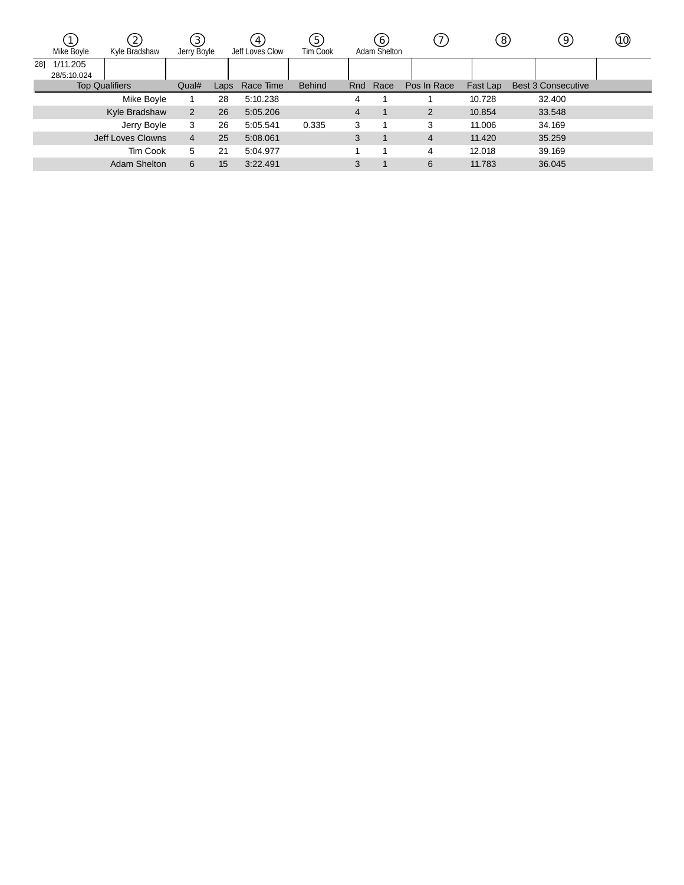|     | Mke Boyle               | Kyle Bradshaw         | 3)<br>Jerry Boyle |      | 4 <sub>1</sub><br>Jeff Loves Clow | $.5^{\circ}$<br><b>TimCook</b> |     | 6<br>Adam Shelton |                | (8)      | 9                         | (10) |
|-----|-------------------------|-----------------------|-------------------|------|-----------------------------------|--------------------------------|-----|-------------------|----------------|----------|---------------------------|------|
| 281 | 1/11.205<br>28/5:10.024 |                       |                   |      |                                   |                                |     |                   |                |          |                           |      |
|     |                         | <b>Top Qualifiers</b> | Qual#             | Laps | Race Time                         | <b>Behind</b>                  | Rnd | Race              | Pos In Race    | Fast Lap | <b>Best 3 Consecutive</b> |      |
|     |                         | Mike Boyle            |                   | 28   | 5:10.238                          |                                | 4   |                   |                | 10.728   | 32.400                    |      |
|     |                         | Kyle Bradshaw         | 2                 | 26   | 5:05.206                          |                                | 4   |                   | 2              | 10.854   | 33.548                    |      |
|     |                         | Jerry Boyle           | 3                 | 26   | 5:05.541                          | 0.335                          | 3   |                   | 3              | 11.006   | 34.169                    |      |
|     |                         | Jeff Loves Clowns     | $\overline{4}$    | 25   | 5:08.061                          |                                | 3   |                   | $\overline{4}$ | 11.420   | 35.259                    |      |
|     |                         | Tim Cook              | 5                 | 21   | 5:04.977                          |                                |     |                   | 4              | 12.018   | 39.169                    |      |
|     |                         | Adam Shelton          | 6                 | 15   | 3:22.491                          |                                | 3   |                   | 6              | 11.783   | 36.045                    |      |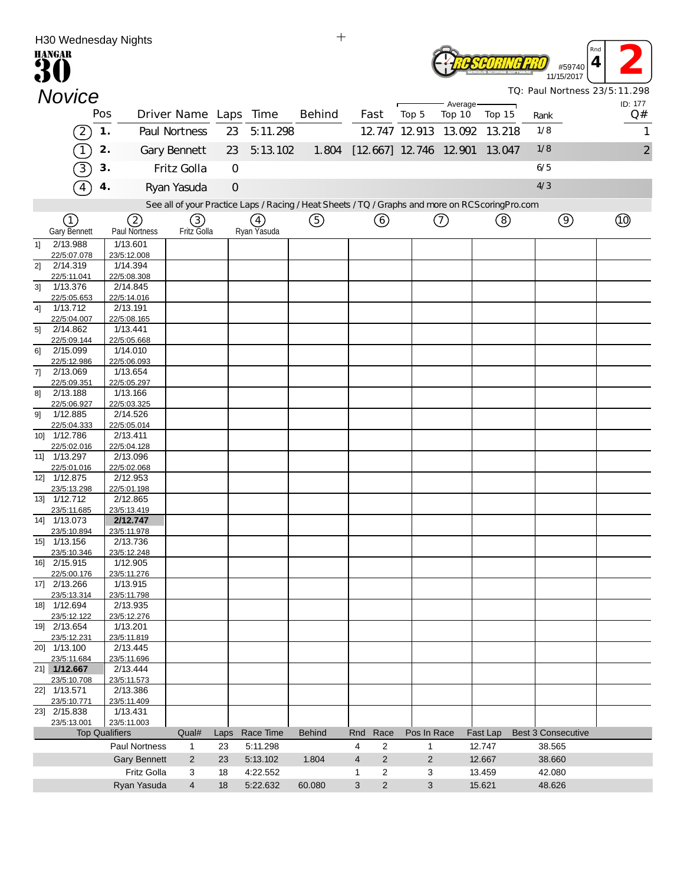|                | <b>HANGAR</b>                            | H30 Wednesday Nights                 |                       |                |                      | $^{+}$                                                                                            |                                                     |             |                             |                  | #59740                        | Rnd<br>4       |
|----------------|------------------------------------------|--------------------------------------|-----------------------|----------------|----------------------|---------------------------------------------------------------------------------------------------|-----------------------------------------------------|-------------|-----------------------------|------------------|-------------------------------|----------------|
|                |                                          |                                      |                       |                |                      |                                                                                                   |                                                     |             |                             |                  | 11/15/2017                    |                |
|                | <b>Novice</b>                            |                                      |                       |                |                      |                                                                                                   |                                                     |             | Average-                    |                  | TQ: Paul Nortness 23/5:11.298 | ID: 177        |
|                |                                          | Pos                                  | Driver Name Laps Time |                |                      | <b>Behind</b>                                                                                     | Fast                                                | Top 5       | Top 10                      | Top 15           | Rank                          | Q#             |
|                | $\left(2\right)$                         | 1.                                   | Paul Nortness         | 23             | 5:11.298             |                                                                                                   |                                                     |             | 12 747 12 913 13 092 13 218 |                  | 1/8                           | 1              |
|                | $\begin{array}{c} \boxed{1} \end{array}$ | 2.                                   | Gary Bennett          | 23             | 5:13.102             | 1.804                                                                                             | $[12, 667]$ 12.746 12.901 13.047                    |             |                             |                  | 1/8                           | $\overline{2}$ |
|                | $\overline{3}$                           | 3.                                   | Fritz Golla           | $\mathbf{O}$   |                      |                                                                                                   |                                                     |             |                             |                  | 6/5                           |                |
|                |                                          | 4.                                   | Ryan Yasuda           | $\overline{O}$ |                      |                                                                                                   |                                                     |             |                             |                  | 4/3                           |                |
|                |                                          |                                      |                       |                |                      | See all of your Practice Laps / Racing / Heat Sheets / TQ / Graphs and more on RCS coring Pro.com |                                                     |             |                             |                  |                               |                |
|                | (1)                                      | 2                                    | 3)                    |                | (4)                  | (5)                                                                                               | 6                                                   |             | ⑦                           | (8)              | $\circledcirc$                | <b>to</b>      |
|                | <b>Gary Bennett</b>                      | Paul Nortness                        | Fritz Golla           |                | Ryan Yasuda          |                                                                                                   |                                                     |             |                             |                  |                               |                |
| 11             | 2/13.988<br>22/5:07.078                  | 1/13.601<br>23/5:12.008              |                       |                |                      |                                                                                                   |                                                     |             |                             |                  |                               |                |
| 2]             | 2/14.319                                 | 1/14.394                             |                       |                |                      |                                                                                                   |                                                     |             |                             |                  |                               |                |
| 3 <sup>1</sup> | 22/5:11.041<br>1/13.376                  | 22/5:08.308<br>2/14.845              |                       |                |                      |                                                                                                   |                                                     |             |                             |                  |                               |                |
|                | 22/5:05.653                              | 22/5:14.016                          |                       |                |                      |                                                                                                   |                                                     |             |                             |                  |                               |                |
| 4]             | 1/13.712<br>22/5:04.007                  | 2/13.191<br>22/5:08.165              |                       |                |                      |                                                                                                   |                                                     |             |                             |                  |                               |                |
| 5]             | 2/14.862<br>22/5:09.144                  | 1/13.441<br>22/5:05.668              |                       |                |                      |                                                                                                   |                                                     |             |                             |                  |                               |                |
| 61             | 2/15.099                                 | 1/14.010                             |                       |                |                      |                                                                                                   |                                                     |             |                             |                  |                               |                |
| 71             | 22/5:12.986<br>2/13.069                  | 22/5:06.093<br>1/13.654              |                       |                |                      |                                                                                                   |                                                     |             |                             |                  |                               |                |
|                | 22/5:09.351                              | 22/5:05.297                          |                       |                |                      |                                                                                                   |                                                     |             |                             |                  |                               |                |
| 81             | 2/13.188<br>22/5:06.927                  | 1/13.166<br>22/5:03.325              |                       |                |                      |                                                                                                   |                                                     |             |                             |                  |                               |                |
| 91             | 1/12.885                                 | 2/14.526                             |                       |                |                      |                                                                                                   |                                                     |             |                             |                  |                               |                |
|                | 22/5:04.333<br>10] 1/12.786              | 22/5:05.014<br>2/13.411              |                       |                |                      |                                                                                                   |                                                     |             |                             |                  |                               |                |
|                | 22/5:02.016<br>11] 1/13.297              | 22/5:04.128<br>2/13.096              |                       |                |                      |                                                                                                   |                                                     |             |                             |                  |                               |                |
|                | 22/5:01.016                              | 22/5:02.068                          |                       |                |                      |                                                                                                   |                                                     |             |                             |                  |                               |                |
|                | 12] 1/12.875<br>23/5:13.298              | 2/12.953<br>22/5:01.198              |                       |                |                      |                                                                                                   |                                                     |             |                             |                  |                               |                |
|                | 13] 1/12.712                             | 2/12.865                             |                       |                |                      |                                                                                                   |                                                     |             |                             |                  |                               |                |
|                | 23/5:11.685<br>14] 1/13.073              | 23/5:13.419<br>2/12.747              |                       |                |                      |                                                                                                   |                                                     |             |                             |                  |                               |                |
|                | 23/5:10.894                              | 23/5:11.978                          |                       |                |                      |                                                                                                   |                                                     |             |                             |                  |                               |                |
|                | 15] 1/13.156<br>23/5:10.346              | 2/13.736<br>23/5:12.248              |                       |                |                      |                                                                                                   |                                                     |             |                             |                  |                               |                |
|                | 16] 2/15.915                             | 1/12.905                             |                       |                |                      |                                                                                                   |                                                     |             |                             |                  |                               |                |
|                | 22/5:00.176<br>17] 2/13.266              | 23/5:11.276<br>1/13.915              |                       |                |                      |                                                                                                   |                                                     |             |                             |                  |                               |                |
|                | 23/5:13.314<br>18] 1/12.694              | 23/5:11.798<br>2/13.935              |                       |                |                      |                                                                                                   |                                                     |             |                             |                  |                               |                |
|                | 23/5:12.122                              | 23/5:12.276                          |                       |                |                      |                                                                                                   |                                                     |             |                             |                  |                               |                |
|                | 19] 2/13.654<br>23/5:12.231              | 1/13.201<br>23/5:11.819              |                       |                |                      |                                                                                                   |                                                     |             |                             |                  |                               |                |
|                | 20] 1/13.100                             | 2/13.445                             |                       |                |                      |                                                                                                   |                                                     |             |                             |                  |                               |                |
|                | 23/5:11.684<br>21] 1/12.667              | 23/5:11.696<br>2/13.444              |                       |                |                      |                                                                                                   |                                                     |             |                             |                  |                               |                |
|                | 23/5:10.708                              | 23/5:11.573                          |                       |                |                      |                                                                                                   |                                                     |             |                             |                  |                               |                |
|                | 22] 1/13.571<br>23/5:10.771              | 2/13.386<br>23/5:11.409              |                       |                |                      |                                                                                                   |                                                     |             |                             |                  |                               |                |
|                | 23] 2/15.838                             | 1/13.431                             |                       |                |                      |                                                                                                   |                                                     |             |                             |                  |                               |                |
|                | 23/5:13.001                              | 23/5:11.003<br><b>Top Qualifiers</b> | Qual#                 | Laps           | Race Time            | <b>Behind</b>                                                                                     | Race<br>Rnd                                         | Pos In Race |                             | Fast Lap         | <b>Best 3 Consecutive</b>     |                |
|                |                                          | Paul Nortness                        | 1                     | 23             | 5:11.298             |                                                                                                   | $\overline{2}$<br>4                                 | 1           |                             | 12.747           | 38.565                        |                |
|                |                                          | <b>Gary Bennett</b><br>Fritz Golla   | $\overline{2}$<br>3   | 23             | 5:13.102<br>4:22.552 | 1.804                                                                                             | $\overline{2}$<br>4<br>$\overline{\mathbf{c}}$<br>1 | 2<br>3      |                             | 12.667<br>13.459 | 38.660<br>42.080              |                |
|                |                                          | Ryan Yasuda                          | $\overline{4}$        | 18<br>18       | 5:22.632             | 60.080                                                                                            | $\sqrt{2}$<br>3                                     | 3           |                             | 15.621           | 48.626                        |                |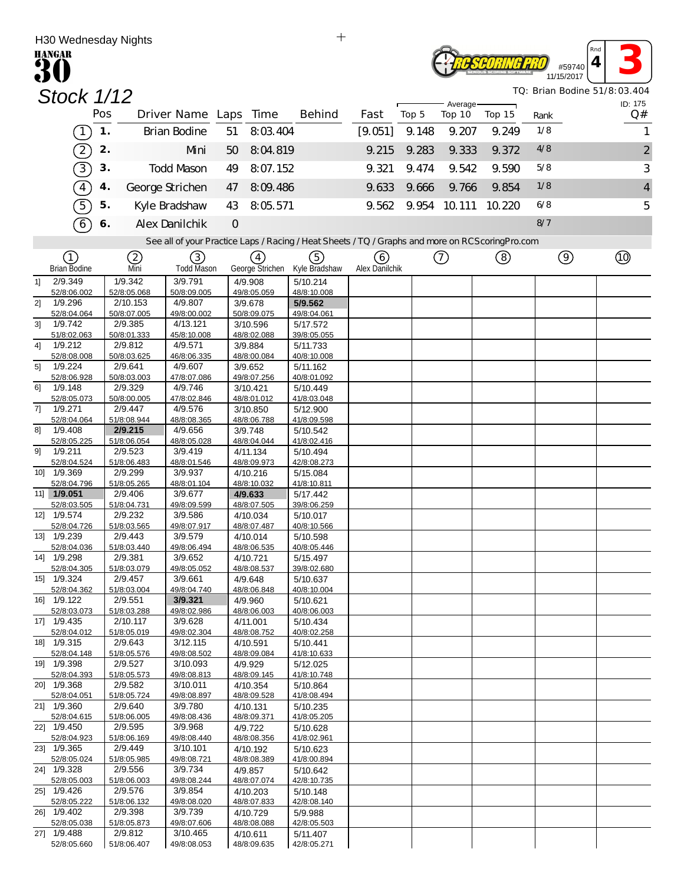|                | H30 Wednesday Nights       |               |                         |                         |         |                         | $\mathrm{+}$                                                                                      |                |       |                    |        |                              |          |                         |
|----------------|----------------------------|---------------|-------------------------|-------------------------|---------|-------------------------|---------------------------------------------------------------------------------------------------|----------------|-------|--------------------|--------|------------------------------|----------|-------------------------|
|                | <b>HANGAR</b><br>30        |               |                         |                         |         |                         |                                                                                                   |                |       |                    |        | #59740<br>11/15/2017         | Rna<br>4 |                         |
|                | <b>Stock 1/12</b>          |               |                         |                         |         |                         |                                                                                                   |                |       |                    |        | TQ: Brian Bodine 51/8:03.404 |          |                         |
|                |                            | Pos           |                         | Driver Name Laps Time   |         |                         | Behind                                                                                            | Fast           | Top 5 | Average-<br>Top 10 | Top 15 | Rank                         |          | ID: 175<br>Q#           |
|                |                            | $\mathbf 1$ . |                         | <b>Brian Bodine</b>     |         | 8:03.404                |                                                                                                   |                | 9.148 | 9.207              |        | 1/8                          |          |                         |
|                | $\boxed{1}$                |               |                         |                         | 51      |                         |                                                                                                   | [9.051]        |       |                    | 9.249  |                              |          | 1                       |
|                | $\left( 2\right)$          | 2.            |                         | Mni                     | 50      | 8:04.819                |                                                                                                   | 9.215          | 9.283 | 9.333              | 9.372  | 4/8                          |          | $\overline{\mathbf{c}}$ |
|                | $\boxed{3}$                | 3.            |                         | <b>Todd Mason</b>       | 49      | 8:07.152                |                                                                                                   | 9.321          | 9.474 | 9.542              | 9.590  | 5/8                          |          | 3                       |
|                | $\widehat{4}$              | 4.            |                         | George Strichen         | 47      | 8:09.486                |                                                                                                   | 9.633          | 9.666 | 9.766              | 9.854  | 1/8                          |          | 4                       |
|                | $\widehat{5}$              | 5.            |                         | Kyle Bradshaw           | 43      | 8:05.571                |                                                                                                   | 9.562          |       | 9.954 10.111       | 10.220 | 6/8                          |          | 5                       |
|                | $\widehat{6}$              | 6.            |                         | Alex Danilchik          | $\circ$ |                         |                                                                                                   |                |       |                    |        | 8/7                          |          |                         |
|                |                            |               |                         |                         |         |                         | See all of your Practice Laps / Racing / Heat Sheets / TQ / Graphs and more on RCS coring Pro.com |                |       |                    |        |                              |          |                         |
|                | $\left( 1\right)$          |               | ②                       | (3)                     |         | (4)                     | (5)                                                                                               | (6)            |       | $\circled{c}$      | (8)    | $\circledcirc$               |          |                         |
|                | <b>Brian Bodine</b>        |               | Mni                     | <b>Todd Mason</b>       |         | George Strichen         | Kyle Bradshaw                                                                                     | Alex Danilchik |       |                    |        |                              |          |                         |
| 1]             | 2/9.349<br>52/8:06.002     |               | 1/9.342<br>52/8:05.068  | 3/9.791<br>50/8:09.005  |         | 4/9.908<br>49/8:05.059  | 5/10.214<br>48/8:10.008                                                                           |                |       |                    |        |                              |          |                         |
| 21             | 1/9.296                    |               | 2/10.153                | 4/9.807                 |         | 3/9.678                 | 5/9.562                                                                                           |                |       |                    |        |                              |          |                         |
| 3 <sup>1</sup> | 52/8:04.064                |               | 50/8:07.005             | 49/8:00.002<br>4/13.121 |         | 50/8:09.075             | 49/8:04.061                                                                                       |                |       |                    |        |                              |          |                         |
|                | 1/9.742<br>51/8:02.063     |               | 2/9.385<br>50/8:01.333  | 45/8:10.008             |         | 3/10.596<br>48/8:02.088 | 5/17.572<br>39/8:05.055                                                                           |                |       |                    |        |                              |          |                         |
| 41             | 1/9.212                    |               | 2/9.812                 | 4/9.571                 |         | 3/9.884                 | 5/11.733                                                                                          |                |       |                    |        |                              |          |                         |
| 5]             | 52/8:08.008<br>1/9.224     |               | 50/8:03.625<br>2/9.641  | 46/8:06.335<br>4/9.607  |         | 48/8:00.084<br>3/9.652  | 40/8:10.008<br>5/11.162                                                                           |                |       |                    |        |                              |          |                         |
|                | 52/8:06.928                |               | 50/8:03.003             | 47/8:07.086             |         | 49/8:07.256             | 40/8:01.092                                                                                       |                |       |                    |        |                              |          |                         |
| 61             | 1/9.148<br>52/8:05.073     |               | 2/9.329<br>50/8:00.005  | 4/9.746<br>47/8:02.846  |         | 3/10.421<br>48/8:01.012 | 5/10.449<br>41/8:03.048                                                                           |                |       |                    |        |                              |          |                         |
| 71             | 1/9.271                    |               | 2/9.447                 | 4/9.576                 |         | 3/10.850                | 5/12.900                                                                                          |                |       |                    |        |                              |          |                         |
| 81             | 52/8:04.064<br>1/9.408     |               | 51/8:08.944<br>2/9.215  | 48/8:08.365<br>4/9.656  |         | 48/8:06.788<br>3/9.748  | 41/8:09.598<br>5/10.542                                                                           |                |       |                    |        |                              |          |                         |
|                | 52/8:05.225                |               | 51/8:06.054             | 48/8:05.028             |         | 48/8:04.044             | 41/8:02.416                                                                                       |                |       |                    |        |                              |          |                         |
| 91             | 1/9.211<br>52/8:04.524     |               | 2/9.523<br>51/8:06.483  | 3/9.419<br>48/8:01.546  |         | 4/11.134<br>48/8:09.973 | 5/10.494<br>42/8:08.273                                                                           |                |       |                    |        |                              |          |                         |
| 10]            | 1/9.369                    |               | 2/9.299                 | 3/9.937                 |         | 4/10.216                | 5/15.084                                                                                          |                |       |                    |        |                              |          |                         |
|                | 52/8:04.796<br>11] 1/9.051 |               | 51/8:05.265<br>2/9.406  | 48/8:01.104<br>3/9.677  |         | 48/8:10.032<br>4/9.633  | 41/8:10.811<br>5/17.442                                                                           |                |       |                    |        |                              |          |                         |
|                | 52/8:03.505                |               | 51/8:04.731             | 49/8:09.599             |         | 48/8:07.505             | 39/8:06.259                                                                                       |                |       |                    |        |                              |          |                         |
|                | 12] 1/9.574<br>52/8:04.726 |               | 2/9.232<br>51/8:03.565  | 3/9.586<br>49/8:07.917  |         | 4/10.034<br>48/8:07.487 | 5/10.017<br>40/8:10.566                                                                           |                |       |                    |        |                              |          |                         |
|                | 13] 1/9.239                |               | 2/9.443                 | 3/9.579                 |         | 4/10.014                | 5/10.598                                                                                          |                |       |                    |        |                              |          |                         |
|                | 52/8:04.036<br>14] 1/9.298 |               | 51/8:03.440<br>2/9.381  | 49/8:06.494<br>3/9.652  |         | 48/8:06.535<br>4/10.721 | 40/8:05.446<br>5/15.497                                                                           |                |       |                    |        |                              |          |                         |
|                | 52/8:04.305                |               | 51/8:03.079             | 49/8:05.052             |         | 48/8:08.537             | 39/8:02.680                                                                                       |                |       |                    |        |                              |          |                         |
|                | 15] 1/9.324<br>52/8:04.362 |               | 2/9.457<br>51/8:03.004  | 3/9.661<br>49/8:04.740  |         | 4/9.648<br>48/8:06.848  | 5/10.637<br>40/8:10.004                                                                           |                |       |                    |        |                              |          |                         |
|                | 16] 1/9.122                |               | 2/9.551                 | 3/9.321                 |         | 4/9.960                 | 5/10.621                                                                                          |                |       |                    |        |                              |          |                         |
|                | 52/8:03.073<br>17] 1/9.435 |               | 51/8:03.288<br>2/10.117 | 49/8:02.986<br>3/9.628  |         | 48/8:06.003<br>4/11.001 | 40/8:06.003<br>5/10.434                                                                           |                |       |                    |        |                              |          |                         |
|                | 52/8:04.012                |               | 51/8:05.019             | 49/8:02.304             |         | 48/8:08.752             | 40/8:02.258                                                                                       |                |       |                    |        |                              |          |                         |
|                | 18] 1/9.315<br>52/8:04.148 |               | 2/9.643<br>51/8:05.576  | 3/12.115<br>49/8:08.502 |         | 4/10.591<br>48/8:09.084 | 5/10.441<br>41/8:10.633                                                                           |                |       |                    |        |                              |          |                         |
|                | 19] 1/9.398                |               | 2/9.527                 | 3/10.093                |         | 4/9.929                 | 5/12.025                                                                                          |                |       |                    |        |                              |          |                         |
|                | 52/8:04.393<br>20] 1/9.368 |               | 51/8:05.573<br>2/9.582  | 49/8:08.813<br>3/10.011 |         | 48/8:09.145<br>4/10.354 | 41/8:10.748<br>5/10.864                                                                           |                |       |                    |        |                              |          |                         |
|                | 52/8:04.051                |               | 51/8:05.724             | 49/8:08.897             |         | 48/8:09.528             | 41/8:08.494                                                                                       |                |       |                    |        |                              |          |                         |
|                | 21] 1/9.360<br>52/8:04.615 |               | 2/9.640<br>51/8:06.005  | 3/9.780<br>49/8:08.436  |         | 4/10.131<br>48/8:09.371 | 5/10.235<br>41/8:05.205                                                                           |                |       |                    |        |                              |          |                         |
|                | 22] 1/9.450                |               | 2/9.595                 | 3/9.968                 |         | 4/9.722                 | 5/10.628                                                                                          |                |       |                    |        |                              |          |                         |
|                | 52/8:04.923<br>23] 1/9.365 |               | 51/8:06.169<br>2/9.449  | 49/8:08.440<br>3/10.101 |         | 48/8:08.356<br>4/10.192 | 41/8:02.961<br>5/10.623                                                                           |                |       |                    |        |                              |          |                         |
|                | 52/8:05.024                |               | 51/8:05.985             | 49/8:08.721             |         | 48/8:08.389             | 41/8:00.894                                                                                       |                |       |                    |        |                              |          |                         |
|                | 24] 1/9.328<br>52/8:05.003 |               | 2/9.556<br>51/8:06.003  | 3/9.734<br>49/8:08.244  |         | 4/9.857<br>48/8:07.074  | 5/10.642<br>42/8:10.735                                                                           |                |       |                    |        |                              |          |                         |
|                | 25] 1/9.426                |               | 2/9.576                 | 3/9.854                 |         | 4/10.203                | 5/10.148                                                                                          |                |       |                    |        |                              |          |                         |
|                | 52/8:05.222<br>26] 1/9.402 |               | 51/8:06.132<br>2/9.398  | 49/8:08.020<br>3/9.739  |         | 48/8:07.833<br>4/10.729 | 42/8:08.140<br>5/9.988                                                                            |                |       |                    |        |                              |          |                         |
|                | 52/8:05.038                |               | 51/8:05.873<br>2/9.812  | 49/8:07.606<br>3/10.465 |         | 48/8:08.088             | 42/8:05.503                                                                                       |                |       |                    |        |                              |          |                         |
|                | 27] 1/9.488<br>52/8:05.660 |               | 51/8:06.407             | 49/8:08.053             |         | 4/10.611<br>48/8:09.635 | 5/11.407<br>42/8:05.271                                                                           |                |       |                    |        |                              |          |                         |

 $\qquad \qquad +$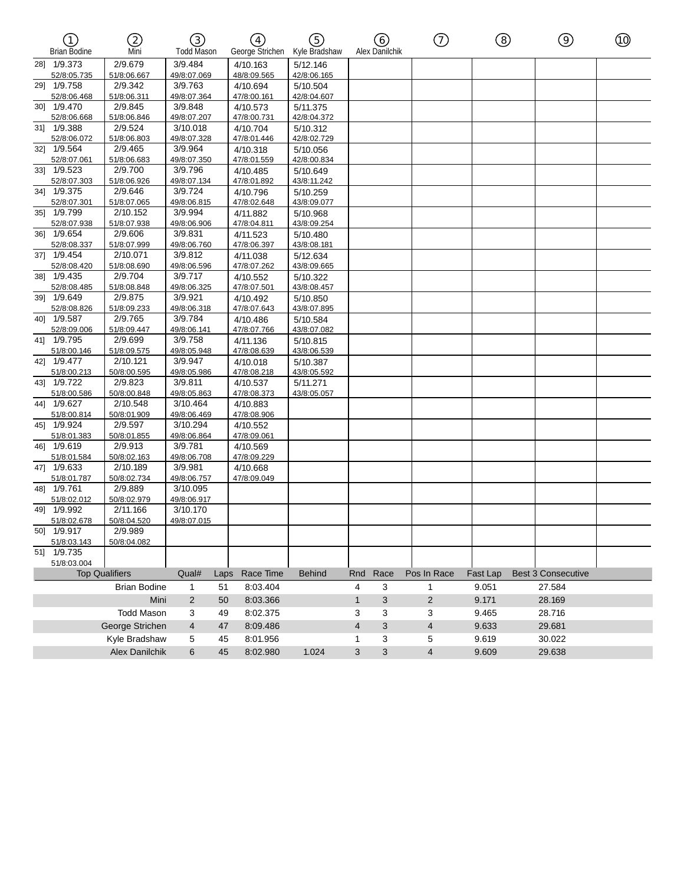| $\left( \widehat{\mathbb{1}}\right)$ | 2                      | ③                       |      | $\left(\overline{4}\right)$ | G)                      |              | (රි)           | $^\copyright$  | ⑧        | $\circledcirc$            | $^\circledR$ |
|--------------------------------------|------------------------|-------------------------|------|-----------------------------|-------------------------|--------------|----------------|----------------|----------|---------------------------|--------------|
| <b>Brian Bodine</b>                  | Mni                    | <b>Todd Mason</b>       |      | George Strichen             | Kyle Bradshaw           |              | Alex Danilchik |                |          |                           |              |
| 28] 1/9.373                          | 2/9.679                | 3/9.484                 |      | 4/10.163                    | 5/12.146                |              |                |                |          |                           |              |
| 52/8:05.735                          | 51/8:06.667            | 49/8:07.069             |      | 48/8:09.565                 | 42/8:06.165             |              |                |                |          |                           |              |
| 29] 1/9.758                          | 2/9.342                | 3/9.763                 |      | 4/10.694                    | 5/10.504                |              |                |                |          |                           |              |
| 52/8:06.468<br>301 1/9.470           | 51/8:06.311            | 49/8:07.364             |      | 47/8:00.161                 | 42/8:04.607             |              |                |                |          |                           |              |
|                                      | 2/9.845                | 3/9.848<br>49/8:07.207  |      | 4/10.573                    | 5/11.375                |              |                |                |          |                           |              |
| 52/8:06.668<br>31] 1/9.388           | 51/8:06.846<br>2/9.524 | 3/10.018                |      | 47/8:00.731<br>4/10.704     | 42/8:04.372<br>5/10.312 |              |                |                |          |                           |              |
| 52/8:06.072                          | 51/8:06.803            | 49/8:07.328             |      | 47/8:01.446                 | 42/8:02.729             |              |                |                |          |                           |              |
| 32] 1/9.564                          | 2/9.465                | 3/9.964                 |      | 4/10.318                    | 5/10.056                |              |                |                |          |                           |              |
| 52/8:07.061                          | 51/8:06.683            | 49/8:07.350             |      | 47/8:01.559                 | 42/8:00.834             |              |                |                |          |                           |              |
| 33] 1/9.523                          | 2/9.700                | 3/9.796                 |      | 4/10.485                    | 5/10.649                |              |                |                |          |                           |              |
| 52/8:07.303                          | 51/8:06.926            | 49/8:07.134             |      | 47/8:01.892                 | 43/8:11.242             |              |                |                |          |                           |              |
| 34] 1/9.375                          | 2/9.646                | 3/9.724                 |      | 4/10.796                    | 5/10.259                |              |                |                |          |                           |              |
| 52/8:07.301                          | 51/8:07.065            | 49/8:06.815             |      | 47/8:02.648                 | 43/8:09.077             |              |                |                |          |                           |              |
| 35] 1/9.799                          | 2/10.152               | 3/9.994                 |      | 4/11.882                    | 5/10.968                |              |                |                |          |                           |              |
| 52/8:07.938                          | 51/8:07.938            | 49/8:06.906             |      | 47/8:04.811                 | 43/8:09.254             |              |                |                |          |                           |              |
| 36] 1/9.654                          | 2/9.606                | 3/9.831                 |      | 4/11.523                    | 5/10.480                |              |                |                |          |                           |              |
| 52/8:08.337                          | 51/8:07.999            | 49/8:06.760             |      | 47/8:06.397                 | 43/8:08.181             |              |                |                |          |                           |              |
| 37] 1/9.454                          | 2/10.071               | 3/9.812                 |      | 4/11.038                    | 5/12.634                |              |                |                |          |                           |              |
| 52/8:08.420                          | 51/8:08.690            | 49/8:06.596             |      | 47/8:07.262                 | 43/8:09.665             |              |                |                |          |                           |              |
| 38] 1/9.435                          | 2/9.704                | 3/9.717                 |      | 4/10.552                    | 5/10.322                |              |                |                |          |                           |              |
| 52/8:08.485                          | 51/8:08.848            | 49/8:06.325             |      | 47/8:07.501                 | 43/8:08.457             |              |                |                |          |                           |              |
| 39] 1/9.649                          | 2/9.875                | 3/9.921                 |      | 4/10.492                    | 5/10.850                |              |                |                |          |                           |              |
| 52/8:08.826<br>40] 1/9.587           | 51/8:09.233<br>2/9.765 | 49/8:06.318<br>3/9.784  |      | 47/8:07.643                 | 43/8:07.895             |              |                |                |          |                           |              |
| 52/8:09.006                          | 51/8:09.447            | 49/8:06.141             |      | 4/10.486<br>47/8:07.766     | 5/10.584<br>43/8:07.082 |              |                |                |          |                           |              |
| 41] 1/9.795                          | 2/9.699                | 3/9.758                 |      | 4/11.136                    | 5/10.815                |              |                |                |          |                           |              |
| 51/8:00.146                          | 51/8:09.575            | 49/8:05.948             |      | 47/8:08.639                 | 43/8:06.539             |              |                |                |          |                           |              |
| 42] 1/9.477                          | 2/10.121               | 3/9.947                 |      | 4/10.018                    | 5/10.387                |              |                |                |          |                           |              |
| 51/8:00.213                          | 50/8:00.595            | 49/8:05.986             |      | 47/8:08.218                 | 43/8:05.592             |              |                |                |          |                           |              |
| 43] 1/9.722                          | 2/9.823                | 3/9.811                 |      | 4/10.537                    | 5/11.271                |              |                |                |          |                           |              |
| 51/8:00.586                          | 50/8:00.848            | 49/8:05.863             |      | 47/8:08.373                 | 43/8:05.057             |              |                |                |          |                           |              |
| 44] 1/9.627                          | 2/10.548               | 3/10.464                |      | 4/10.883                    |                         |              |                |                |          |                           |              |
| 51/8:00.814                          | 50/8:01.909            | 49/8:06.469             |      | 47/8:08.906                 |                         |              |                |                |          |                           |              |
| 45] 1/9.924                          | 2/9.597                | 3/10.294                |      | 4/10.552                    |                         |              |                |                |          |                           |              |
| 51/8:01.383                          | 50/8:01.855            | 49/8:06.864             |      | 47/8:09.061                 |                         |              |                |                |          |                           |              |
| 46] 1/9.619                          | 2/9.913                | 3/9.781                 |      | 4/10.569                    |                         |              |                |                |          |                           |              |
| 51/8:01.584                          | 50/8:02.163            | 49/8:06.708             |      | 47/8:09.229                 |                         |              |                |                |          |                           |              |
| 47] 1/9.633                          | 2/10.189               | 3/9.981                 |      | 4/10.668                    |                         |              |                |                |          |                           |              |
| 51/8:01.787                          | 50/8:02.734            | 49/8:06.757             |      | 47/8:09.049                 |                         |              |                |                |          |                           |              |
| 48] 1/9.761                          | 2/9.889                | 3/10.095                |      |                             |                         |              |                |                |          |                           |              |
| 51/8:02.012                          | 50/8:02.979            | 49/8:06.917             |      |                             |                         |              |                |                |          |                           |              |
| 49] 1/9.992                          | 2/11.166               | 3/10.170<br>49/8:07.015 |      |                             |                         |              |                |                |          |                           |              |
| 51/8:02.678<br>50] 1/9.917           | 50/8:04.520<br>2/9.989 |                         |      |                             |                         |              |                |                |          |                           |              |
| 51/8:03.143                          | 50/8:04.082            |                         |      |                             |                         |              |                |                |          |                           |              |
| 51] 1/9.735                          |                        |                         |      |                             |                         |              |                |                |          |                           |              |
|                                      |                        |                         |      |                             |                         |              |                |                |          |                           |              |
|                                      |                        |                         |      |                             |                         |              |                |                |          |                           |              |
| 51/8:03.004<br><b>Top Qualifiers</b> |                        | Qual#                   | Laps | Race Time                   | <b>Behind</b>           | Rnd          | Race           | Pos In Race    | Fast Lap | <b>Best 3 Consecutive</b> |              |
|                                      |                        |                         |      |                             |                         |              |                |                |          |                           |              |
|                                      | <b>Brian Bodine</b>    | $\mathbf{1}$            | 51   | 8:03.404                    |                         | 4            | 3              | 1              | 9.051    | 27.584                    |              |
|                                      | Mini                   | 2                       | 50   | 8:03.366                    |                         | $\mathbf{1}$ | 3              | $\overline{2}$ | 9.171    | 28.169                    |              |
|                                      | <b>Todd Mason</b>      | 3                       | 49   | 8:02.375                    |                         | 3            | 3              | 3              | 9.465    | 28.716                    |              |
|                                      | George Strichen        | $\overline{4}$          | 47   | 8:09.486                    |                         | 4            | 3              | 4              | 9.633    | 29.681                    |              |
|                                      | Kyle Bradshaw          | 5                       | 45   | 8:01.956                    |                         | 1            | 3              | 5              | 9.619    | 30.022                    |              |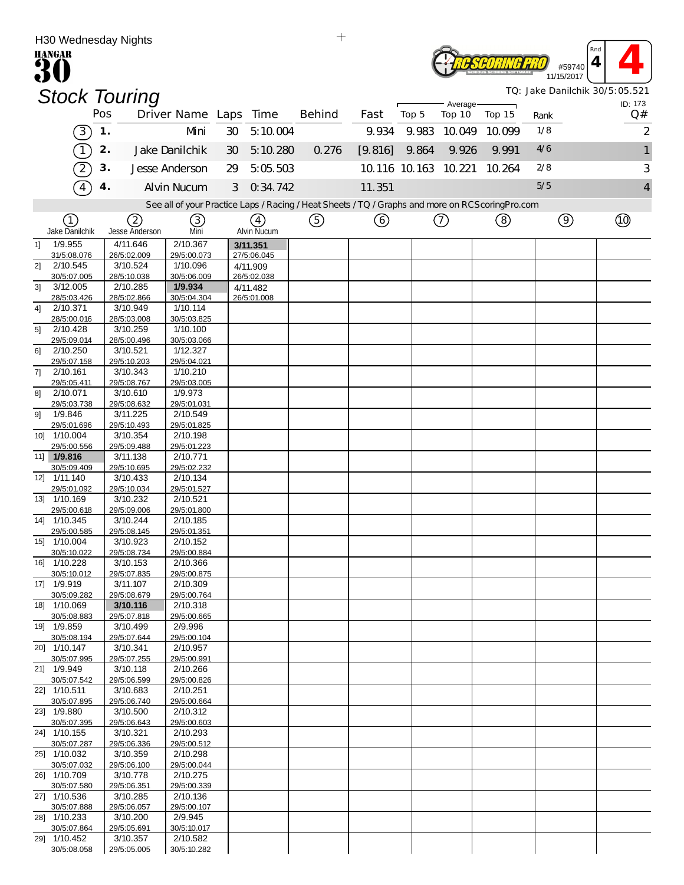| H30 Wednesday Nights                      |                            |                                                                                                   |    |                         | $+$    |         |                      |                    |        |               |          |                                |
|-------------------------------------------|----------------------------|---------------------------------------------------------------------------------------------------|----|-------------------------|--------|---------|----------------------|--------------------|--------|---------------|----------|--------------------------------|
| <b>HANGAR</b>                             |                            |                                                                                                   |    |                         |        |         |                      |                    |        | #59740        | Rnd<br>4 |                                |
|                                           | <b>Stock Touring</b>       |                                                                                                   |    |                         |        |         |                      |                    |        | 11/15/2017    |          | TQ: Jake Danilchik 30/5:05.521 |
|                                           | Pos                        | Driver Name Laps                                                                                  |    | Time                    | Behind | Fast    | Top 5                | Average-<br>Top 10 | Top 15 | Rank          |          | ID: 173<br>Q#                  |
| $\left(3\right)$                          | 1.                         | Mni                                                                                               | 30 | 5:10.004                |        | 9.934   | 9.983                | 10.049             | 10.099 | 1/8           |          | $\overline{2}$                 |
| $\mathbf{1}$                              | 2.                         | Jake Danilchik                                                                                    | 30 | 5:10.280                | 0.276  | [9.816] | 9.864                | 9.926              | 9.991  | 4/6           |          | $\mathbf{1}$                   |
| $\overline{2}$                            | 3.                         | Jesse Anderson                                                                                    | 29 | 5:05.503                |        |         | 10.116 10.163 10.221 |                    | 10.264 | 2/8           |          | 3                              |
| $\overline{4}$                            | 4.                         | <b>Alvin Nucum</b>                                                                                | 3  | 0.34.742                |        | 11.351  |                      |                    |        | 5/5           |          | 4                              |
|                                           |                            | See all of your Practice Laps / Racing / Heat Sheets / TQ / Graphs and more on RCS coring Pro.com |    |                         |        |         |                      |                    |        |               |          |                                |
| (1)                                       | 2                          | 3)                                                                                                |    | (4)                     | (5)    | (6)     |                      | $\left(  \right)$  | (8)    | $\circled{9}$ |          | Q)                             |
| Jake Danilchik<br>1/9.955<br>11           | Jesse Anderson<br>4/11.646 | Mni<br>2/10.367                                                                                   |    | Alvin Nucum<br>3/11.351 |        |         |                      |                    |        |               |          |                                |
| 31/5:08.076                               | 26/5:02.009                | 29/5:00.073                                                                                       |    | 27/5:06.045             |        |         |                      |                    |        |               |          |                                |
| 2/10.545<br>2]                            | 3/10.524                   | 1/10.096                                                                                          |    | 4/11.909                |        |         |                      |                    |        |               |          |                                |
| 30/5:07.005                               | 28/5:10.038                | 30/5:06.009                                                                                       |    | 26/5:02.038             |        |         |                      |                    |        |               |          |                                |
| 3/12.005<br>3]<br>28/5:03.426             | 2/10.285<br>28/5:02.866    | 1/9.934<br>30/5:04.304                                                                            |    | 4/11.482<br>26/5:01.008 |        |         |                      |                    |        |               |          |                                |
| 2/10.371<br>4]                            | 3/10.949                   | 1/10.114                                                                                          |    |                         |        |         |                      |                    |        |               |          |                                |
| 28/5:00.016                               | 28/5:03.008                | 30/5:03.825                                                                                       |    |                         |        |         |                      |                    |        |               |          |                                |
| 5 <sup>1</sup><br>2/10.428<br>29/5:09.014 | 3/10.259<br>28/5:00.496    | 1/10.100<br>30/5:03.066                                                                           |    |                         |        |         |                      |                    |        |               |          |                                |
| 2/10.250<br>61                            | 3/10.521                   | 1/12.327                                                                                          |    |                         |        |         |                      |                    |        |               |          |                                |
| 29/5:07.158                               | 29/5:10.203                | 29/5:04.021                                                                                       |    |                         |        |         |                      |                    |        |               |          |                                |
| 2/10.161<br>71<br>29/5:05.411             | 3/10.343<br>29/5:08.767    | 1/10.210<br>29/5:03.005                                                                           |    |                         |        |         |                      |                    |        |               |          |                                |
| 2/10.071<br>8]                            | 3/10.610                   | 1/9.973                                                                                           |    |                         |        |         |                      |                    |        |               |          |                                |
| 29/5:03.738<br>1/9.846<br>91              | 29/5:08.632<br>3/11.225    | 29/5:01.031<br>2/10.549                                                                           |    |                         |        |         |                      |                    |        |               |          |                                |
| 29/5:01.696                               | 29/5:10.493                | 29/5:01.825                                                                                       |    |                         |        |         |                      |                    |        |               |          |                                |
| 10] 1/10.004                              | 3/10.354                   | 2/10.198                                                                                          |    |                         |        |         |                      |                    |        |               |          |                                |
| 29/5:00.556<br>11] 1/9.816                | 29/5:09.488<br>3/11.138    | 29/5:01.223<br>2/10.771                                                                           |    |                         |        |         |                      |                    |        |               |          |                                |
| 30/5:09.409                               | 29/5:10.695                | 29/5:02.232                                                                                       |    |                         |        |         |                      |                    |        |               |          |                                |
| 12] 1/11.140                              | 3/10.433                   | 2/10.134                                                                                          |    |                         |        |         |                      |                    |        |               |          |                                |
| 29/5:01.092<br>13] 1/10.169               | 29/5:10.034<br>3/10.232    | 29/5:01.527<br>2/10.521                                                                           |    |                         |        |         |                      |                    |        |               |          |                                |
| 29/5:00.618                               | 29/5:09.006                | 29/5:01.800                                                                                       |    |                         |        |         |                      |                    |        |               |          |                                |
| 1/10.345<br>141                           | 3/10.244                   | 2/10.185                                                                                          |    |                         |        |         |                      |                    |        |               |          |                                |
| 29/5:00.585                               | 29/5:08.145                | 29/5:01.351                                                                                       |    |                         |        |         |                      |                    |        |               |          |                                |
| 15] 1/10.004<br>30/5:10.022               | 3/10.923<br>29/5:08.734    | 2/10.152<br>29/5:00.884                                                                           |    |                         |        |         |                      |                    |        |               |          |                                |
| 16] 1/10.228                              | 3/10.153                   | 2/10.366                                                                                          |    |                         |        |         |                      |                    |        |               |          |                                |
| 30/5:10.012                               | 29/5:07.835                | 29/5:00.875                                                                                       |    |                         |        |         |                      |                    |        |               |          |                                |
| 17] 1/9.919<br>30/5:09.282                | 3/11.107<br>29/5:08.679    | 2/10.309<br>29/5:00.764                                                                           |    |                         |        |         |                      |                    |        |               |          |                                |
| 18] 1/10.069                              | 3/10.116                   | 2/10.318                                                                                          |    |                         |        |         |                      |                    |        |               |          |                                |
| 30/5:08.883                               | 29/5:07.818                | 29/5:00.665                                                                                       |    |                         |        |         |                      |                    |        |               |          |                                |
| 19] 1/9.859<br>30/5:08.194                | 3/10.499<br>29/5:07.644    | 2/9.996<br>29/5:00.104                                                                            |    |                         |        |         |                      |                    |        |               |          |                                |
| 20] 1/10.147                              | 3/10.341                   | 2/10.957                                                                                          |    |                         |        |         |                      |                    |        |               |          |                                |
| 30/5:07.995                               | 29/5:07.255<br>3/10.118    | 29/5:00.991<br>2/10.266                                                                           |    |                         |        |         |                      |                    |        |               |          |                                |
| 21] 1/9.949<br>30/5:07.542                | 29/5:06.599                | 29/5:00.826                                                                                       |    |                         |        |         |                      |                    |        |               |          |                                |
| 22] 1/10.511                              | 3/10.683                   | 2/10.251                                                                                          |    |                         |        |         |                      |                    |        |               |          |                                |
| 30/5:07.895<br>23] 1/9.880                | 29/5:06.740<br>3/10.500    | 29/5:00.664<br>2/10.312                                                                           |    |                         |        |         |                      |                    |        |               |          |                                |
| 30/5:07.395                               | 29/5:06.643                | 29/5:00.603                                                                                       |    |                         |        |         |                      |                    |        |               |          |                                |
| 24] 1/10.155<br>30/5:07.287               | 3/10.321<br>29/5:06.336    | 2/10.293<br>29/5:00.512                                                                           |    |                         |        |         |                      |                    |        |               |          |                                |
| 25] 1/10.032                              | 3/10.359                   | 2/10.298                                                                                          |    |                         |        |         |                      |                    |        |               |          |                                |
| 30/5:07.032                               | 29/5:06.100                | 29/5:00.044                                                                                       |    |                         |        |         |                      |                    |        |               |          |                                |
| 26] 1/10.709<br>30/5:07.580               | 3/10.778<br>29/5:06.351    | 2/10.275<br>29/5:00.339                                                                           |    |                         |        |         |                      |                    |        |               |          |                                |
| 27] 1/10.536                              | 3/10.285                   | 2/10.136                                                                                          |    |                         |        |         |                      |                    |        |               |          |                                |
| 30/5:07.888<br>28] 1/10.233               | 29/5:06.057<br>3/10.200    | 29/5:00.107<br>2/9.945                                                                            |    |                         |        |         |                      |                    |        |               |          |                                |
| 30/5:07.864                               | 29/5:05.691                | 30/5:10.017                                                                                       |    |                         |        |         |                      |                    |        |               |          |                                |
| 29] 1/10.452                              | 3/10.357                   | 2/10.582                                                                                          |    |                         |        |         |                      |                    |        |               |          |                                |
| 30/5:08.058                               | 29/5:05.005                | 30/5:10.282                                                                                       |    |                         |        |         |                      |                    |        |               |          |                                |

 $\ddot{+}$